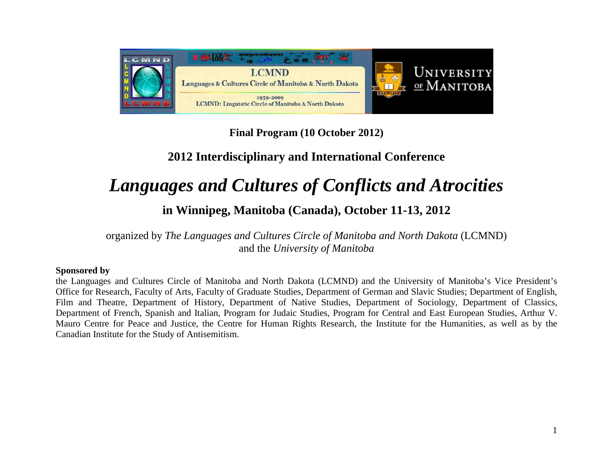

**Final Program (10 October 2012)**

# **2012 Interdisciplinary and International Conference**

# *Languages and Cultures of Conflicts and Atrocities*

# **in Winnipeg, Manitoba (Canada), October 11-13, 2012**

organized by *The Languages and Cultures Circle of Manitoba and North Dakota* (LCMND) and the *University of Manitoba*

#### **Sponsored by**

the Languages and Cultures Circle of Manitoba and North Dakota (LCMND) and the University of Manitoba's Vice President's Office for Research, Faculty of Arts, Faculty of Graduate Studies, Department of German and Slavic Studies; Department of English, Film and Theatre, Department of History, Department of Native Studies, Department of Sociology, Department of Classics, Department of French, Spanish and Italian, Program for Judaic Studies, Program for Central and East European Studies, Arthur V. Mauro Centre for Peace and Justice, the Centre for Human Rights Research, the Institute for the Humanities, as well as by the Canadian Institute for the Study of Antisemitism.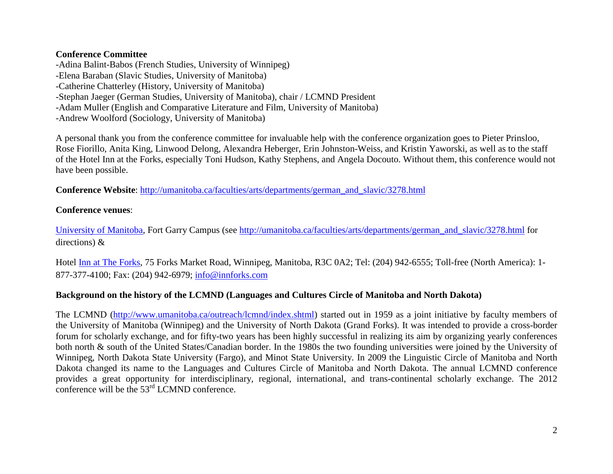#### **Conference Committee**

-Adina Balint-Babos (French Studies, University of Winnipeg) -Elena Baraban (Slavic Studies, University of Manitoba) -Catherine Chatterley (History, University of Manitoba) -Stephan Jaeger (German Studies, University of Manitoba), chair / LCMND President -Adam Muller (English and Comparative Literature and Film, University of Manitoba) -Andrew Woolford (Sociology, University of Manitoba)

A personal thank you from the conference committee for invaluable help with the conference organization goes to Pieter Prinsloo, Rose Fiorillo, Anita King, Linwood Delong, Alexandra Heberger, Erin Johnston-Weiss, and Kristin Yaworski, as well as to the staff of the Hotel Inn at the Forks, especially Toni Hudson, Kathy Stephens, and Angela Docouto. Without them, this conference would not have been possible.

**Conference Website**: [http://umanitoba.ca/faculties/arts/departments/german\\_and\\_slavic/3278.html](http://umanitoba.ca/faculties/arts/departments/german_and_slavic/3278.html)

#### **Conference venues**:

[University of Manitoba,](http://umanitoba.ca/) Fort Garry Campus (see [http://umanitoba.ca/faculties/arts/departments/german\\_and\\_slavic/3278.html](http://umanitoba.ca/faculties/arts/departments/german_and_slavic/3278.html) for directions) &

Hotel [Inn at The Forks,](http://innforks.com/) 75 Forks Market Road, Winnipeg, Manitoba, R3C 0A2; Tel: (204) 942-6555; Toll-free (North America): 1- 877-377-4100; Fax: (204) 942-6979; [info@innforks.com](mailto:info@innforks.com)

#### **Background on the history of the LCMND (Languages and Cultures Circle of Manitoba and North Dakota)**

The LCMND [\(http://www.umanitoba.ca/outreach/lcmnd/index.shtml\)](http://www.umanitoba.ca/outreach/lcmnd/index.shtml) started out in 1959 as a joint initiative by faculty members of the University of Manitoba (Winnipeg) and the University of North Dakota (Grand Forks). It was intended to provide a cross-border forum for scholarly exchange, and for fifty-two years has been highly successful in realizing its aim by organizing yearly conferences both north & south of the United States/Canadian border. In the 1980s the two founding universities were joined by the University of Winnipeg, North Dakota State University (Fargo), and Minot State University. In 2009 the Linguistic Circle of Manitoba and North Dakota changed its name to the Languages and Cultures Circle of Manitoba and North Dakota. The annual LCMND conference provides a great opportunity for interdisciplinary, regional, international, and trans-continental scholarly exchange. The 2012 conference will be the 53rd LCMND conference.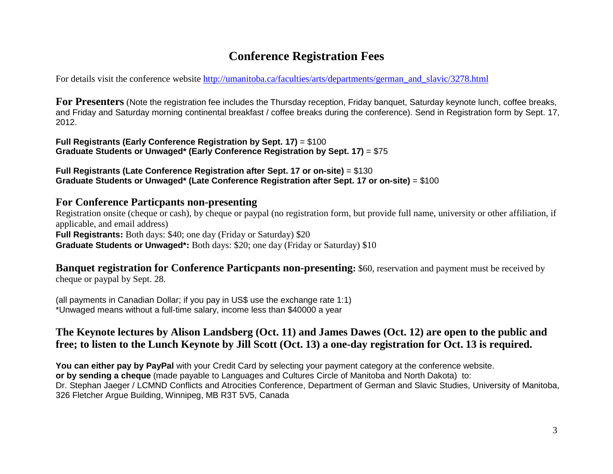# **Conference Registration Fees**

For details visit the conference website [http://umanitoba.ca/faculties/arts/departments/german\\_and\\_slavic/3278.html](http://umanitoba.ca/faculties/arts/departments/german_and_slavic/3278.html)

**For Presenters** (Note the registration fee includes the Thursday reception, Friday banquet, Saturday keynote lunch, coffee breaks, and Friday and Saturday morning continental breakfast / coffee breaks during the conference). Send in Registration form by Sept. 17, 2012.

**Full Registrants (Early Conference Registration by Sept. 17)** = \$100 **Graduate Students or Unwaged\* (Early Conference Registration by Sept. 17)** = \$75

**Full Registrants (Late Conference Registration after Sept. 17 or on-site)** = \$130 **Graduate Students or Unwaged\* (Late Conference Registration after Sept. 17 or on-site)** = \$100

#### **For Conference Particpants non-presenting**

Registration onsite (cheque or cash), by cheque or paypal (no registration form, but provide full name, university or other affiliation, if applicable, and email address) **Full Registrants:** Both days: \$40; one day (Friday or Saturday) \$20 **Graduate Students or Unwaged\*:** Both days: \$20; one day (Friday or Saturday) \$10

**Banquet registration for Conference Particpants non-presenting:** \$60, reservation and payment must be received by cheque or paypal by Sept. 28.

(all payments in Canadian Dollar; if you pay in US\$ use the exchange rate 1:1) \*Unwaged means without a full-time salary, income less than \$40000 a year

### **The Keynote lectures by Alison Landsberg (Oct. 11) and James Dawes (Oct. 12) are open to the public and free; to listen to the Lunch Keynote by Jill Scott (Oct. 13) a one-day registration for Oct. 13 is required.**

**You can either pay by PayPal** with your Credit Card by selecting your payment category at the conference website. **or by sending a cheque** (made payable to Languages and Cultures Circle of Manitoba and North Dakota) to: Dr. Stephan Jaeger / LCMND Conflicts and Atrocities Conference, Department of German and Slavic Studies, University of Manitoba, 326 Fletcher Argue Building, Winnipeg, MB R3T 5V5, Canada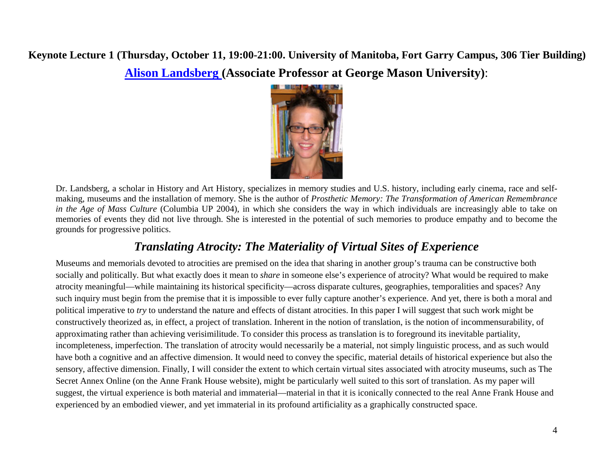# **Keynote Lecture 1 (Thursday, October 11, 19:00-21:00. University of Manitoba, Fort Garry Campus, 306 Tier Building) [Alison Landsberg \(](http://historyarthistory.gmu.edu/people/alandsb1)Associate Professor at George Mason University)**:



Dr. Landsberg, a scholar in History and Art History, specializes in memory studies and U.S. history, including early cinema, race and selfmaking, museums and the installation of memory. She is the author of *Prosthetic Memory: The Transformation of American Remembrance in the Age of Mass Culture* (Columbia UP 2004), in which she considers the way in which individuals are increasingly able to take on memories of events they did not live through. She is interested in the potential of such memories to produce empathy and to become the grounds for progressive politics.

# *Translating Atrocity: The Materiality of Virtual Sites of Experience*

Museums and memorials devoted to atrocities are premised on the idea that sharing in another group's trauma can be constructive both socially and politically. But what exactly does it mean to *share* in someone else's experience of atrocity? What would be required to make atrocity meaningful—while maintaining its historical specificity—across disparate cultures, geographies, temporalities and spaces? Any such inquiry must begin from the premise that it is impossible to ever fully capture another's experience. And yet, there is both a moral and political imperative to *try* to understand the nature and effects of distant atrocities. In this paper I will suggest that such work might be constructively theorized as, in effect, a project of translation. Inherent in the notion of translation, is the notion of incommensurability, of approximating rather than achieving verisimilitude. To consider this process as translation is to foreground its inevitable partiality, incompleteness, imperfection. The translation of atrocity would necessarily be a material, not simply linguistic process, and as such would have both a cognitive and an affective dimension. It would need to convey the specific, material details of historical experience but also the sensory, affective dimension. Finally, I will consider the extent to which certain virtual sites associated with atrocity museums, such as The Secret Annex Online (on the Anne Frank House website), might be particularly well suited to this sort of translation. As my paper will suggest, the virtual experience is both material and immaterial—material in that it is iconically connected to the real Anne Frank House and experienced by an embodied viewer, and yet immaterial in its profound artificiality as a graphically constructed space.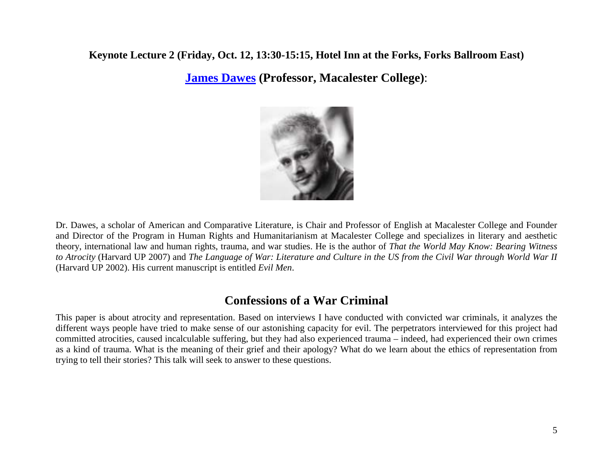### **Keynote Lecture 2 (Friday, Oct. 12, 13:30-15:15, Hotel Inn at the Forks, Forks Ballroom East)**

**[James Dawes](http://www.macalester.edu/english/facultystaff/jamesdawes/) (Professor, Macalester College)**:



Dr. Dawes, a scholar of American and Comparative Literature, is Chair and Professor of English at Macalester College and Founder and Director of the Program in Human Rights and Humanitarianism at Macalester College and specializes in literary and aesthetic theory, international law and human rights, trauma, and war studies. He is the author of *That the World May Know: Bearing Witness to Atrocity* (Harvard UP 2007) and *The Language of War: Literature and Culture in the US from the Civil War through World War II* (Harvard UP 2002). His current manuscript is entitled *Evil Men*.

# **Confessions of a War Criminal**

This paper is about atrocity and representation. Based on interviews I have conducted with convicted war criminals, it analyzes the different ways people have tried to make sense of our astonishing capacity for evil. The perpetrators interviewed for this project had committed atrocities, caused incalculable suffering, but they had also experienced trauma – indeed, had experienced their own crimes as a kind of trauma. What is the meaning of their grief and their apology? What do we learn about the ethics of representation from trying to tell their stories? This talk will seek to answer to these questions.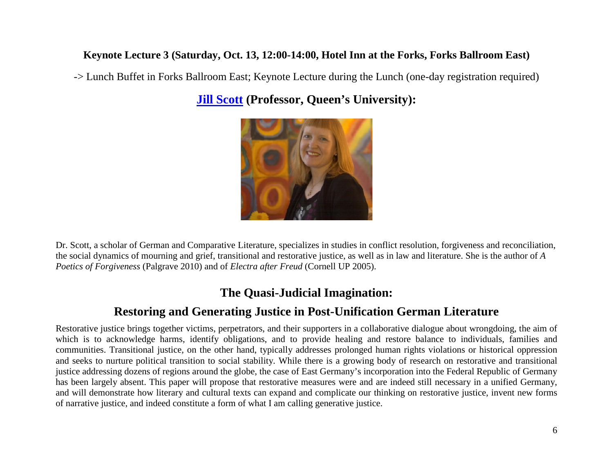### **Keynote Lecture 3 (Saturday, Oct. 13, 12:00-14:00, Hotel Inn at the Forks, Forks Ballroom East)**

-> Lunch Buffet in Forks Ballroom East; Keynote Lecture during the Lunch (one-day registration required)

**[Jill Scott](http://www.queensu.ca/german/department/facultyandstaff/scott.html) (Professor, Queen's University):**



Dr. Scott, a scholar of German and Comparative Literature, specializes in studies in conflict resolution, forgiveness and reconciliation, the social dynamics of mourning and grief, transitional and restorative justice, as well as in law and literature. She is the author of *A Poetics of Forgiveness* (Palgrave 2010) and of *Electra after Freud* (Cornell UP 2005).

# **The Quasi-Judicial Imagination:**

# **Restoring and Generating Justice in Post-Unification German Literature**

Restorative justice brings together victims, perpetrators, and their supporters in a collaborative dialogue about wrongdoing, the aim of which is to acknowledge harms, identify obligations, and to provide healing and restore balance to individuals, families and communities. Transitional justice, on the other hand, typically addresses prolonged human rights violations or historical oppression and seeks to nurture political transition to social stability. While there is a growing body of research on restorative and transitional justice addressing dozens of regions around the globe, the case of East Germany's incorporation into the Federal Republic of Germany has been largely absent. This paper will propose that restorative measures were and are indeed still necessary in a unified Germany, and will demonstrate how literary and cultural texts can expand and complicate our thinking on restorative justice, invent new forms of narrative justice, and indeed constitute a form of what I am calling generative justice.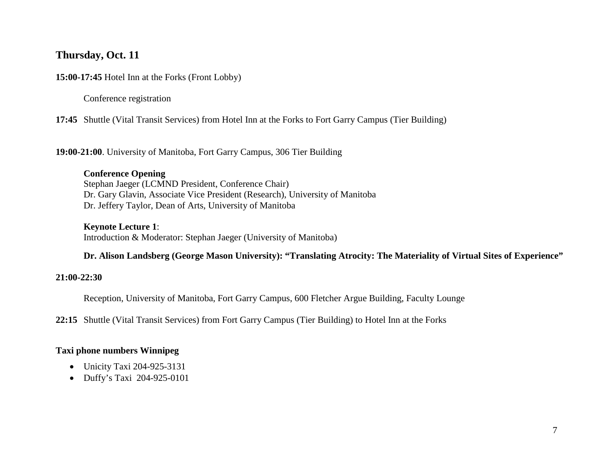### **Thursday, Oct. 11**

**15:00-17:45** Hotel Inn at the Forks (Front Lobby)

Conference registration

**17:45** Shuttle (Vital Transit Services) from Hotel Inn at the Forks to Fort Garry Campus (Tier Building)

**19:00-21:00**. University of Manitoba, Fort Garry Campus, 306 Tier Building

**Conference Opening** Stephan Jaeger (LCMND President, Conference Chair) Dr. Gary Glavin, Associate Vice President (Research), University of Manitoba Dr. Jeffery Taylor, Dean of Arts, University of Manitoba

**Keynote Lecture 1**:

Introduction & Moderator: Stephan Jaeger (University of Manitoba)

**Dr. Alison Landsberg (George Mason University): "Translating Atrocity: The Materiality of Virtual Sites of Experience"**

#### **21:00-22:30**

Reception, University of Manitoba, Fort Garry Campus, 600 Fletcher Argue Building, Faculty Lounge

**22:15** Shuttle (Vital Transit Services) from Fort Garry Campus (Tier Building) to Hotel Inn at the Forks

#### **Taxi phone numbers Winnipeg**

- Unicity Taxi 204-925-3131
- Duffy's Taxi 204-925-0101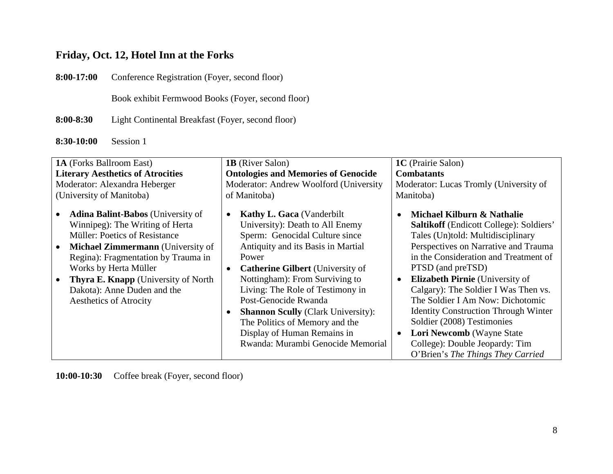## **Friday, Oct. 12, Hotel Inn at the Forks**

**8:00-17:00** Conference Registration (Foyer, second floor)

Book exhibit Fermwood Books (Foyer, second floor)

**8:00-8:30** Light Continental Breakfast (Foyer, second floor)

**8:30-10:00** Session 1

| 1A (Forks Ballroom East)                                                                                                                                                                                                                                                                                                                | <b>1B</b> (River Salon)                                                                                                                                                                                                                                                                                                                                                                                                                                       | 1C (Prairie Salon)                                                                                                                                                                                                                                                                                                                                                                                                                                                                                                                                                    |
|-----------------------------------------------------------------------------------------------------------------------------------------------------------------------------------------------------------------------------------------------------------------------------------------------------------------------------------------|---------------------------------------------------------------------------------------------------------------------------------------------------------------------------------------------------------------------------------------------------------------------------------------------------------------------------------------------------------------------------------------------------------------------------------------------------------------|-----------------------------------------------------------------------------------------------------------------------------------------------------------------------------------------------------------------------------------------------------------------------------------------------------------------------------------------------------------------------------------------------------------------------------------------------------------------------------------------------------------------------------------------------------------------------|
| <b>Literary Aesthetics of Atrocities</b>                                                                                                                                                                                                                                                                                                | <b>Ontologies and Memories of Genocide</b>                                                                                                                                                                                                                                                                                                                                                                                                                    | <b>Combatants</b>                                                                                                                                                                                                                                                                                                                                                                                                                                                                                                                                                     |
| Moderator: Alexandra Heberger                                                                                                                                                                                                                                                                                                           | Moderator: Andrew Woolford (University                                                                                                                                                                                                                                                                                                                                                                                                                        | Moderator: Lucas Tromly (University of                                                                                                                                                                                                                                                                                                                                                                                                                                                                                                                                |
| (University of Manitoba)                                                                                                                                                                                                                                                                                                                | of Manitoba)                                                                                                                                                                                                                                                                                                                                                                                                                                                  | Manitoba)                                                                                                                                                                                                                                                                                                                                                                                                                                                                                                                                                             |
| <b>Adina Balint-Babos</b> (University of<br>Winnipeg): The Writing of Herta<br><b>Müller: Poetics of Resistance</b><br><b>Michael Zimmermann</b> (University of<br>Regina): Fragmentation by Trauma in<br>Works by Herta Müller<br><b>Thyra E. Knapp</b> (University of North)<br>Dakota): Anne Duden and the<br>Aesthetics of Atrocity | <b>Kathy L. Gaca</b> (Vanderbilt<br>$\bullet$<br>University): Death to All Enemy<br>Sperm: Genocidal Culture since<br>Antiquity and its Basis in Martial<br>Power<br><b>Catherine Gilbert</b> (University of<br>Nottingham): From Surviving to<br>Living: The Role of Testimony in<br>Post-Genocide Rwanda<br><b>Shannon Scully (Clark University):</b><br>The Politics of Memory and the<br>Display of Human Remains in<br>Rwanda: Murambi Genocide Memorial | Michael Kilburn & Nathalie<br>$\bullet$<br><b>Saltikoff</b> (Endicott College): Soldiers'<br>Tales (Un)told: Multidisciplinary<br>Perspectives on Narrative and Trauma<br>in the Consideration and Treatment of<br>PTSD (and preTSD)<br><b>Elizabeth Pirnie</b> (University of<br>$\bullet$<br>Calgary): The Soldier I Was Then vs.<br>The Soldier I Am Now: Dichotomic<br><b>Identity Construction Through Winter</b><br>Soldier (2008) Testimonies<br>Lori Newcomb (Wayne State<br>$\bullet$<br>College): Double Jeopardy: Tim<br>O'Brien's The Things They Carried |

**10:00-10:30** Coffee break (Foyer, second floor)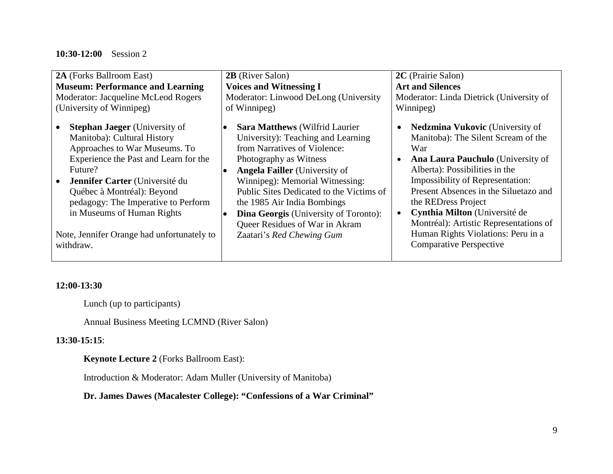#### **10:30-12:00** Session 2

| 2A (Forks Ballroom East)                                                                                                                                                                                                                                                                                                                                 | <b>2B</b> (River Salon)                                                                                                                                                                                                                                                                                                                                                                                                                     | 2C (Prairie Salon)                                                                                                                                                                                                                                                                                                                                                                                                                                  |
|----------------------------------------------------------------------------------------------------------------------------------------------------------------------------------------------------------------------------------------------------------------------------------------------------------------------------------------------------------|---------------------------------------------------------------------------------------------------------------------------------------------------------------------------------------------------------------------------------------------------------------------------------------------------------------------------------------------------------------------------------------------------------------------------------------------|-----------------------------------------------------------------------------------------------------------------------------------------------------------------------------------------------------------------------------------------------------------------------------------------------------------------------------------------------------------------------------------------------------------------------------------------------------|
| <b>Museum: Performance and Learning</b>                                                                                                                                                                                                                                                                                                                  | <b>Voices and Witnessing I</b>                                                                                                                                                                                                                                                                                                                                                                                                              | <b>Art and Silences</b>                                                                                                                                                                                                                                                                                                                                                                                                                             |
| Moderator: Jacqueline McLeod Rogers                                                                                                                                                                                                                                                                                                                      | Moderator: Linwood DeLong (University                                                                                                                                                                                                                                                                                                                                                                                                       | Moderator: Linda Dietrick (University of                                                                                                                                                                                                                                                                                                                                                                                                            |
| (University of Winnipeg)                                                                                                                                                                                                                                                                                                                                 | of Winnipeg)                                                                                                                                                                                                                                                                                                                                                                                                                                | Winnipeg)                                                                                                                                                                                                                                                                                                                                                                                                                                           |
| <b>Stephan Jaeger</b> (University of<br>Manitoba): Cultural History<br>Approaches to War Museums. To<br>Experience the Past and Learn for the<br>Future?<br>Jennifer Carter (Université du<br>Québec à Montréal): Beyond<br>pedagogy: The Imperative to Perform<br>in Museums of Human Rights<br>Note, Jennifer Orange had unfortunately to<br>withdraw. | <b>Sara Matthews</b> (Wilfrid Laurier)<br>$\bullet$<br>University): Teaching and Learning<br>from Narratives of Violence:<br>Photography as Witness<br><b>Angela Failler</b> (University of<br>$\bullet$<br>Winnipeg): Memorial Witnessing:<br>Public Sites Dedicated to the Victims of<br>the 1985 Air India Bombings<br><b>Dina Georgis</b> (University of Toronto):<br>lo<br>Queer Residues of War in Akram<br>Zaatari's Red Chewing Gum | <b>Nedzmina Vukovic</b> (University of<br>$\bullet$<br>Manitoba): The Silent Scream of the<br>War<br><b>Ana Laura Pauchulo</b> (University of<br>$\bullet$<br>Alberta): Possibilities in the<br>Impossibility of Representation:<br>Present Absences in the Siluetazo and<br>the REDress Project<br>Cynthia Milton (Université de<br>Montréal): Artistic Representations of<br>Human Rights Violations: Peru in a<br><b>Comparative Perspective</b> |

#### **12:00-13:30**

Lunch (up to participants)

Annual Business Meeting LCMND (River Salon)

#### **13:30-15:15**:

**Keynote Lecture 2** (Forks Ballroom East):

Introduction & Moderator: Adam Muller (University of Manitoba)

### **Dr. James Dawes (Macalester College): "Confessions of a War Criminal"**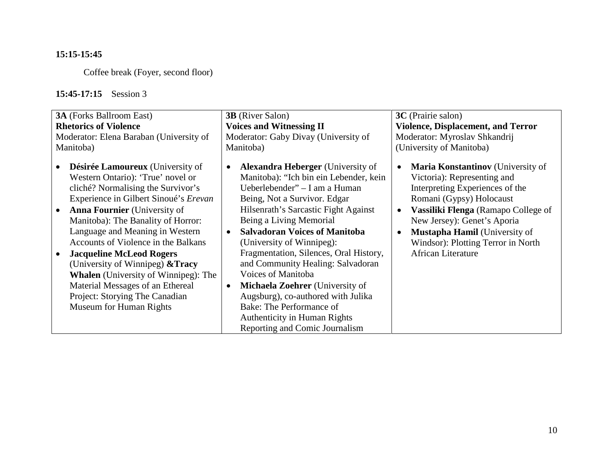### **15:15-15:45**

Coffee break (Foyer, second floor)

### **15:45-17:15** Session 3

| <b>3A</b> (Forks Ballroom East)                                                                                                                                                                                                                                                                                                                                                                                                                                                                                                           | <b>3B</b> (River Salon)                                                                                                                                                                                                                                                                                                                                                                                                                                                                                                                                                                                                      | 3C (Prairie salon)                                                                                                                                                                                                                                                                                                      |
|-------------------------------------------------------------------------------------------------------------------------------------------------------------------------------------------------------------------------------------------------------------------------------------------------------------------------------------------------------------------------------------------------------------------------------------------------------------------------------------------------------------------------------------------|------------------------------------------------------------------------------------------------------------------------------------------------------------------------------------------------------------------------------------------------------------------------------------------------------------------------------------------------------------------------------------------------------------------------------------------------------------------------------------------------------------------------------------------------------------------------------------------------------------------------------|-------------------------------------------------------------------------------------------------------------------------------------------------------------------------------------------------------------------------------------------------------------------------------------------------------------------------|
| <b>Rhetorics of Violence</b>                                                                                                                                                                                                                                                                                                                                                                                                                                                                                                              | <b>Voices and Witnessing II</b>                                                                                                                                                                                                                                                                                                                                                                                                                                                                                                                                                                                              | <b>Violence, Displacement, and Terror</b>                                                                                                                                                                                                                                                                               |
| Moderator: Elena Baraban (University of                                                                                                                                                                                                                                                                                                                                                                                                                                                                                                   | Moderator: Gaby Divay (University of                                                                                                                                                                                                                                                                                                                                                                                                                                                                                                                                                                                         | Moderator: Myroslav Shkandrij                                                                                                                                                                                                                                                                                           |
| Manitoba)                                                                                                                                                                                                                                                                                                                                                                                                                                                                                                                                 | Manitoba)                                                                                                                                                                                                                                                                                                                                                                                                                                                                                                                                                                                                                    | (University of Manitoba)                                                                                                                                                                                                                                                                                                |
| Désirée Lamoureux (University of<br>Western Ontario): 'True' novel or<br>cliché? Normalising the Survivor's<br>Experience in Gilbert Sinoué's Erevan<br><b>Anna Fournier</b> (University of<br>Manitoba): The Banality of Horror:<br>Language and Meaning in Western<br>Accounts of Violence in the Balkans<br><b>Jacqueline McLeod Rogers</b><br>(University of Winnipeg) & Tracy<br><b>Whalen</b> (University of Winnipeg): The<br>Material Messages of an Ethereal<br>Project: Storying The Canadian<br><b>Museum for Human Rights</b> | <b>Alexandra Heberger</b> (University of<br>$\bullet$<br>Manitoba): "Ich bin ein Lebender, kein<br>Ueberlebender" – I am a Human<br>Being, Not a Survivor. Edgar<br>Hilsenrath's Sarcastic Fight Against<br>Being a Living Memorial<br><b>Salvadoran Voices of Manitoba</b><br>$\bullet$<br>(University of Winnipeg):<br>Fragmentation, Silences, Oral History,<br>and Community Healing: Salvadoran<br>Voices of Manitoba<br><b>Michaela Zoehrer</b> (University of<br>$\bullet$<br>Augsburg), co-authored with Julika<br>Bake: The Performance of<br><b>Authenticity in Human Rights</b><br>Reporting and Comic Journalism | <b>Maria Konstantinov</b> (University of<br>Victoria): Representing and<br>Interpreting Experiences of the<br>Romani (Gypsy) Holocaust<br>Vassiliki Flenga (Ramapo College of<br>New Jersey): Genet's Aporia<br><b>Mustapha Hamil</b> (University of<br>Windsor): Plotting Terror in North<br><b>African Literature</b> |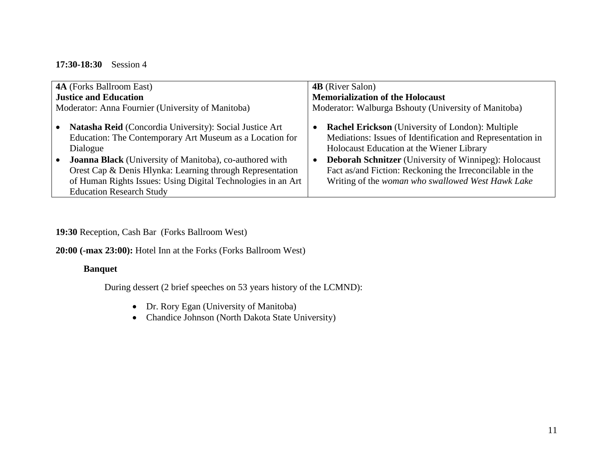#### **17:30-18:30** Session 4

| <b>4A</b> (Forks Ballroom East)                                                                                                                                                                                                                                                                                                                                   | <b>4B</b> (River Salon)                                                                                                                                                                                                                                                                                                                                                       |
|-------------------------------------------------------------------------------------------------------------------------------------------------------------------------------------------------------------------------------------------------------------------------------------------------------------------------------------------------------------------|-------------------------------------------------------------------------------------------------------------------------------------------------------------------------------------------------------------------------------------------------------------------------------------------------------------------------------------------------------------------------------|
| <b>Justice and Education</b>                                                                                                                                                                                                                                                                                                                                      | <b>Memorialization of the Holocaust</b>                                                                                                                                                                                                                                                                                                                                       |
| Moderator: Anna Fournier (University of Manitoba)                                                                                                                                                                                                                                                                                                                 | Moderator: Walburga Bshouty (University of Manitoba)                                                                                                                                                                                                                                                                                                                          |
| <b>Natasha Reid</b> (Concordia University): Social Justice Art<br>Education: The Contemporary Art Museum as a Location for<br>Dialogue<br>Joanna Black (University of Manitoba), co-authored with<br>Orest Cap & Denis Hlynka: Learning through Representation<br>of Human Rights Issues: Using Digital Technologies in an Art<br><b>Education Research Study</b> | <b>Rachel Erickson</b> (University of London): Multiple<br>$\bullet$<br>Mediations: Issues of Identification and Representation in<br>Holocaust Education at the Wiener Library<br><b>Deborah Schnitzer</b> (University of Winnipeg): Holocaust<br>$\bullet$<br>Fact as/and Fiction: Reckoning the Irreconcilable in the<br>Writing of the woman who swallowed West Hawk Lake |

**19:30** Reception, Cash Bar (Forks Ballroom West)

**20:00 (-max 23:00):** Hotel Inn at the Forks (Forks Ballroom West)

#### **Banquet**

During dessert (2 brief speeches on 53 years history of the LCMND):

- Dr. Rory Egan (University of Manitoba)
- Chandice Johnson (North Dakota State University)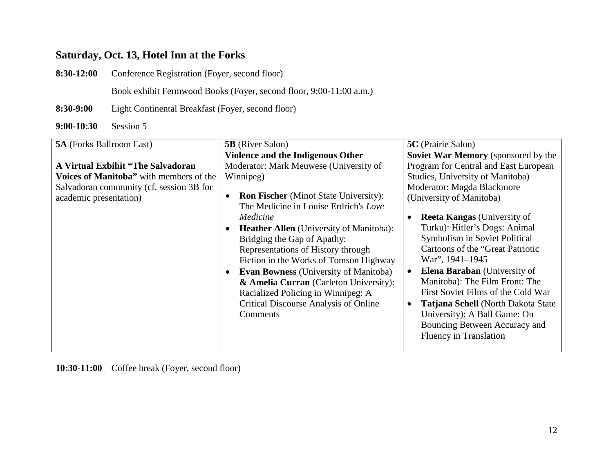## **Saturday, Oct. 13, Hotel Inn at the Forks**

**8:30-12:00** Conference Registration (Foyer, second floor)

Book exhibit Fermwood Books (Foyer, second floor, 9:00-11:00 a.m.)

**8:30-9:00** Light Continental Breakfast (Foyer, second floor)

**9:00-10:30** Session 5

| <b>5A</b> (Forks Ballroom East)          | <b>5B</b> (River Salon)                                   | 5C (Prairie Salon)                               |
|------------------------------------------|-----------------------------------------------------------|--------------------------------------------------|
|                                          | Violence and the Indigenous Other                         | Soviet War Memory (sponsored by the              |
| A Virtual Exbihit "The Salvadoran"       | Moderator: Mark Meuwese (University of                    | Program for Central and East European            |
| Voices of Manitoba" with members of the  | Winnipeg)                                                 | Studies, University of Manitoba)                 |
| Salvadoran community (cf. session 3B for |                                                           | Moderator: Magda Blackmore                       |
| academic presentation)                   | <b>Ron Fischer</b> (Minot State University):<br>$\bullet$ | (University of Manitoba)                         |
|                                          | The Medicine in Louise Erdrich's Love                     |                                                  |
|                                          | Medicine                                                  | <b>Reeta Kangas</b> (University of<br>٠          |
|                                          | <b>Heather Allen</b> (University of Manitoba):            | Turku): Hitler's Dogs: Animal                    |
|                                          | Bridging the Gap of Apathy:                               | Symbolism in Soviet Political                    |
|                                          | Representations of History through                        | Cartoons of the "Great Patriotic"                |
|                                          | Fiction in the Works of Tomson Highway                    | War", 1941-1945                                  |
|                                          | <b>Evan Bowness</b> (University of Manitoba)              | <b>Elena Baraban</b> (University of<br>$\bullet$ |
|                                          | & Amelia Curran (Carleton University):                    | Manitoba): The Film Front: The                   |
|                                          | Racialized Policing in Winnipeg: A                        | First Soviet Films of the Cold War               |
|                                          | Critical Discourse Analysis of Online                     | Tatjana Schell (North Dakota State<br>$\bullet$  |
|                                          | Comments                                                  | University): A Ball Game: On                     |
|                                          |                                                           | Bouncing Between Accuracy and                    |
|                                          |                                                           | <b>Fluency in Translation</b>                    |
|                                          |                                                           |                                                  |

**10:30-11:00** Coffee break (Foyer, second floor)